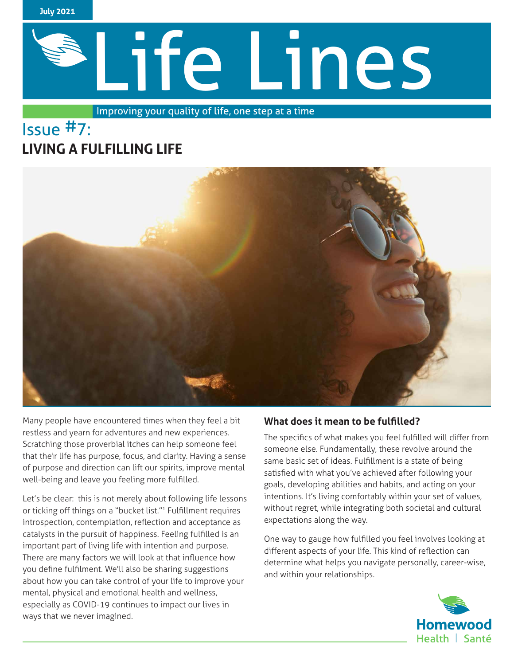

# Life Lines

Improving your quality of life, one step at a time

# Issue #7: **LIVING A FULFILLING LIFE**



Many people have encountered times when they feel a bit restless and yearn for adventures and new experiences. Scratching those proverbial itches can help someone feel that their life has purpose, focus, and clarity. Having a sense of purpose and direction can lift our spirits, improve mental well-being and leave you feeling more fulfilled.

Let's be clear: this is not merely about following life lessons or ticking off things on a "bucket list."<sup>1</sup> Fulfillment requires introspection, contemplation, reflection and acceptance as catalysts in the pursuit of happiness. Feeling fulfilled is an important part of living life with intention and purpose. There are many factors we will look at that influence how you define fulfilment. We'll also be sharing suggestions about how you can take control of your life to improve your mental, physical and emotional health and wellness, especially as COVID-19 continues to impact our lives in ways that we never imagined.

## **What does it mean to be fulfilled?**

The specifics of what makes you feel fulfilled will differ from someone else. Fundamentally, these revolve around the same basic set of ideas. Fulfillment is a state of being satisfied with what you've achieved after following your goals, developing abilities and habits, and acting on your intentions. It's living comfortably within your set of values, without regret, while integrating both societal and cultural expectations along the way.

One way to gauge how fulfilled you feel involves looking at different aspects of your life. This kind of reflection can determine what helps you navigate personally, career-wise, and within your relationships.

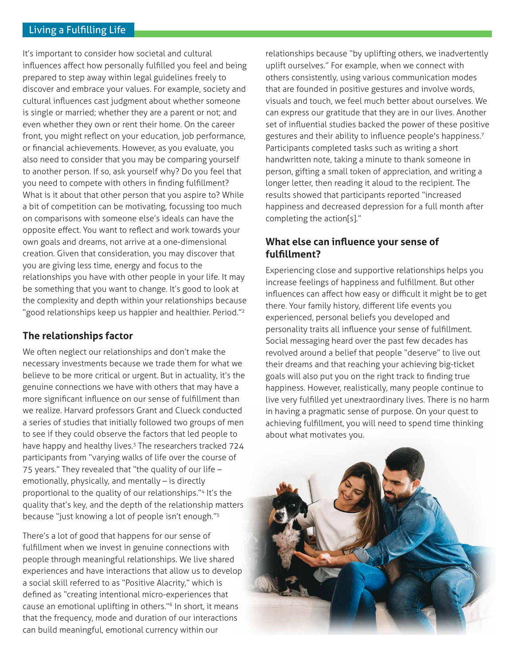It's important to consider how societal and cultural influences affect how personally fulfilled you feel and being prepared to step away within legal guidelines freely to discover and embrace your values. For example, society and cultural influences cast judgment about whether someone is single or married; whether they are a parent or not; and even whether they own or rent their home. On the career front, you might reflect on your education, job performance, or financial achievements. However, as you evaluate, you also need to consider that you may be comparing yourself to another person. If so, ask yourself why? Do you feel that you need to compete with others in finding fulfillment? What is it about that other person that you aspire to? While a bit of competition can be motivating, focussing too much on comparisons with someone else's ideals can have the opposite effect. You want to reflect and work towards your own goals and dreams, not arrive at a one-dimensional creation. Given that consideration, you may discover that you are giving less time, energy and focus to the relationships you have with other people in your life. It may be something that you want to change. It's good to look at the complexity and depth within your relationships because "good relationships keep us happier and healthier. Period."<sup>2</sup>

### **The relationships factor**

We often neglect our relationships and don't make the necessary investments because we trade them for what we believe to be more critical or urgent. But in actuality, it's the genuine connections we have with others that may have a more significant influence on our sense of fulfillment than we realize. Harvard professors Grant and Clueck conducted a series of studies that initially followed two groups of men to see if they could observe the factors that led people to have happy and healthy lives.<sup>3</sup> The researchers tracked 724 participants from "varying walks of life over the course of 75 years." They revealed that "the quality of our life – emotionally, physically, and mentally – is directly proportional to the quality of our relationships."4 It's the quality that's key, and the depth of the relationship matters because "just knowing a lot of people isn't enough."<sup>5</sup>

There's a lot of good that happens for our sense of fulfillment when we invest in genuine connections with people through meaningful relationships. We live shared experiences and have interactions that allow us to develop a social skill referred to as "Positive Alacrity," which is defined as "creating intentional micro-experiences that cause an emotional uplifting in others."6 In short, it means that the frequency, mode and duration of our interactions can build meaningful, emotional currency within our

relationships because "by uplifting others, we inadvertently uplift ourselves." For example, when we connect with others consistently, using various communication modes that are founded in positive gestures and involve words, visuals and touch, we feel much better about ourselves. We can express our gratitude that they are in our lives. Another set of influential studies backed the power of these positive gestures and their ability to influence people's happiness.<sup>7</sup> Participants completed tasks such as writing a short handwritten note, taking a minute to thank someone in person, gifting a small token of appreciation, and writing a longer letter, then reading it aloud to the recipient. The results showed that participants reported "increased happiness and decreased depression for a full month after completing the action[s]."

### **What else can influence your sense of fulfillment?**

Experiencing close and supportive relationships helps you increase feelings of happiness and fulfillment. But other influences can affect how easy or difficult it might be to get there. Your family history, different life events you experienced, personal beliefs you developed and personality traits all influence your sense of fulfillment. Social messaging heard over the past few decades has revolved around a belief that people "deserve" to live out their dreams and that reaching your achieving big-ticket goals will also put you on the right track to finding true happiness. However, realistically, many people continue to live very fulfilled yet unextraordinary lives. There is no harm in having a pragmatic sense of purpose. On your quest to achieving fulfillment, you will need to spend time thinking about what motivates you.

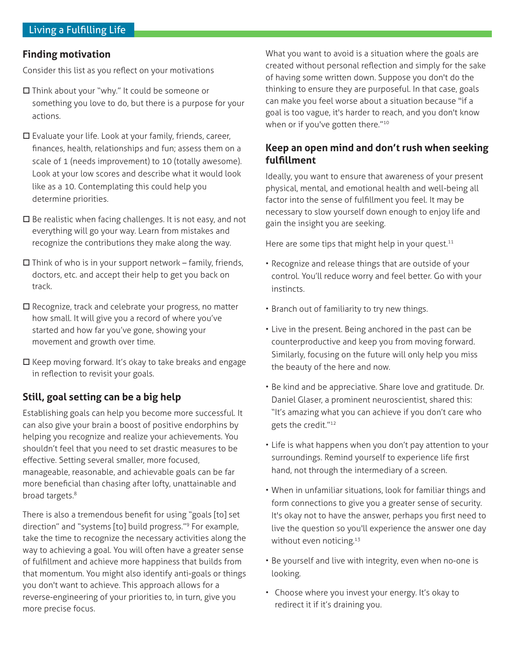### **Finding motivation**

Consider this list as you reflect on your motivations

- $\square$  Think about your "why." It could be someone or something you love to do, but there is a purpose for your actions.
- $\square$  Evaluate your life. Look at your family, friends, career, finances, health, relationships and fun; assess them on a scale of 1 (needs improvement) to 10 (totally awesome). Look at your low scores and describe what it would look like as a 10. Contemplating this could help you determine priorities.
- $\square$  Be realistic when facing challenges. It is not easy, and not everything will go your way. Learn from mistakes and recognize the contributions they make along the way.
- $\square$  Think of who is in your support network family, friends, doctors, etc. and accept their help to get you back on track.
- $\square$  Recognize, track and celebrate your progress, no matter how small. It will give you a record of where you've started and how far you've gone, showing your movement and growth over time.
- $\square$  Keep moving forward. It's okay to take breaks and engage in reflection to revisit your goals.

### **Still, goal setting can be a big help**

Establishing goals can help you become more successful. It can also give your brain a boost of positive endorphins by helping you recognize and realize your achievements. You shouldn't feel that you need to set drastic measures to be effective. Setting several smaller, more focused, manageable, reasonable, and achievable goals can be far more beneficial than chasing after lofty, unattainable and broad targets.<sup>8</sup>

There is also a tremendous benefit for using "goals [to] set direction" and "systems [to] build progress."9 For example, take the time to recognize the necessary activities along the way to achieving a goal. You will often have a greater sense of fulfillment and achieve more happiness that builds from that momentum. You might also identify anti-goals or things you don't want to achieve. This approach allows for a reverse-engineering of your priorities to, in turn, give you more precise focus.

What you want to avoid is a situation where the goals are created without personal reflection and simply for the sake of having some written down. Suppose you don't do the thinking to ensure they are purposeful. In that case, goals can make you feel worse about a situation because "if a goal is too vague, it's harder to reach, and you don't know when or if you've gotten there."<sup>10</sup>

### **Keep an open mind and don't rush when seeking fulfillment**

Ideally, you want to ensure that awareness of your present physical, mental, and emotional health and well-being all factor into the sense of fulfillment you feel. It may be necessary to slow yourself down enough to enjoy life and gain the insight you are seeking.

Here are some tips that might help in your quest.<sup>11</sup>

- Recognize and release things that are outside of your control. You'll reduce worry and feel better. Go with your instincts.
- Branch out of familiarity to try new things.
- Live in the present. Being anchored in the past can be counterproductive and keep you from moving forward. Similarly, focusing on the future will only help you miss the beauty of the here and now.
- Be kind and be appreciative. Share love and gratitude. Dr. Daniel Glaser, a prominent neuroscientist, shared this: "It's amazing what you can achieve if you don't care who gets the credit."<sup>12</sup>
- Life is what happens when you don't pay attention to your surroundings. Remind yourself to experience life first hand, not through the intermediary of a screen.
- When in unfamiliar situations, look for familiar things and form connections to give you a greater sense of security. It's okay not to have the answer, perhaps you first need to live the question so you'll experience the answer one day without even noticing.<sup>13</sup>
- Be yourself and live with integrity, even when no-one is looking.
- Choose where you invest your energy. It's okay to redirect it if it's draining you.